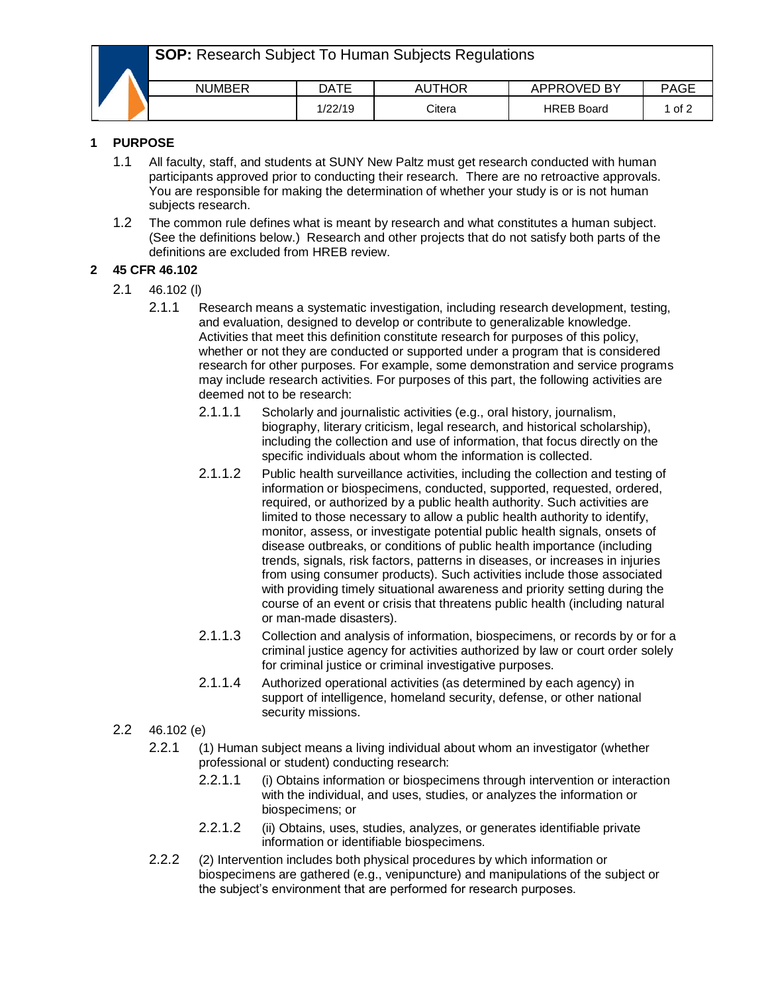**SOP:** Research Subject To Human Subjects Regulations

|  | <b>NUMBER</b> | DATE   | JTHOR<br>AU | APPROVED BY       | PAGE |
|--|---------------|--------|-------------|-------------------|------|
|  |               | /22/19 | Citera      | <b>HREB Board</b> | 1 of |

## **1 PURPOSE**

- 1.1 All faculty, staff, and students at SUNY New Paltz must get research conducted with human participants approved prior to conducting their research. There are no retroactive approvals. You are responsible for making the determination of whether your study is or is not human subjects research.
- 1.2 The common rule defines what is meant by research and what constitutes a human subject. (See the definitions below.) Research and other projects that do not satisfy both parts of the definitions are excluded from HREB review.

# **2 45 CFR 46.102**

- 2.1 46.102 (l)
	- 2.1.1 Research means a systematic investigation, including research development, testing, and evaluation, designed to develop or contribute to generalizable knowledge. Activities that meet this definition constitute research for purposes of this policy, whether or not they are conducted or supported under a program that is considered research for other purposes. For example, some demonstration and service programs may include research activities. For purposes of this part, the following activities are deemed not to be research:
		- 2.1.1.1 Scholarly and journalistic activities (e.g., oral history, journalism, biography, literary criticism, legal research, and historical scholarship), including the collection and use of information, that focus directly on the specific individuals about whom the information is collected.
		- 2.1.1.2 Public health surveillance activities, including the collection and testing of information or biospecimens, conducted, supported, requested, ordered, required, or authorized by a public health authority. Such activities are limited to those necessary to allow a public health authority to identify, monitor, assess, or investigate potential public health signals, onsets of disease outbreaks, or conditions of public health importance (including trends, signals, risk factors, patterns in diseases, or increases in injuries from using consumer products). Such activities include those associated with providing timely situational awareness and priority setting during the course of an event or crisis that threatens public health (including natural or man-made disasters).
		- 2.1.1.3 Collection and analysis of information, biospecimens, or records by or for a criminal justice agency for activities authorized by law or court order solely for criminal justice or criminal investigative purposes.
		- 2.1.1.4 Authorized operational activities (as determined by each agency) in support of intelligence, homeland security, defense, or other national security missions.
- 2.2 46.102 (e)
	- 2.2.1 (1) Human subject means a living individual about whom an investigator (whether professional or student) conducting research:
		- 2.2.1.1 (i) Obtains information or biospecimens through intervention or interaction with the individual, and uses, studies, or analyzes the information or biospecimens; or
		- 2.2.1.2 (ii) Obtains, uses, studies, analyzes, or generates identifiable private information or identifiable biospecimens.
	- 2.2.2 (2) Intervention includes both physical procedures by which information or biospecimens are gathered (e.g., venipuncture) and manipulations of the subject or the subject's environment that are performed for research purposes.